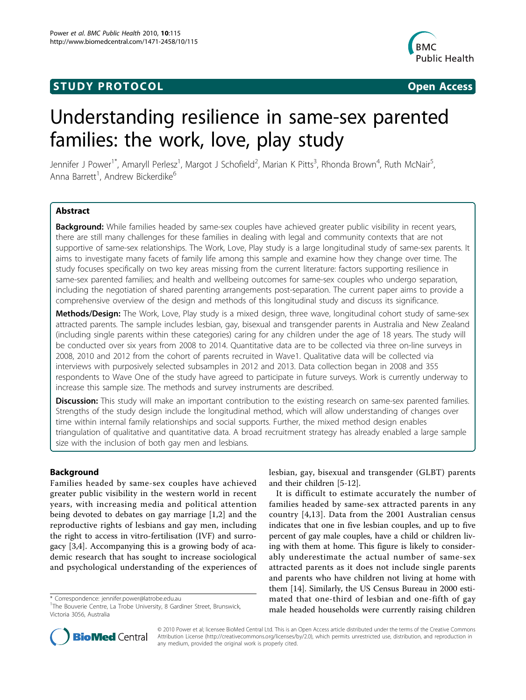## STUDY PROTOCOL ACCESSION CONTROL CONTROL CONTROL CONTROL CONTROL CONTROL CONTROL CONTROL CONTROL CONTROL CONTRO



# Understanding resilience in same-sex parented families: the work, love, play study

Jennifer J Power<sup>1\*</sup>, Amaryll Perlesz<sup>1</sup>, Margot J Schofield<sup>2</sup>, Marian K Pitts<sup>3</sup>, Rhonda Brown<sup>4</sup>, Ruth McNair<sup>5</sup> , Anna Barrett<sup>1</sup>, Andrew Bickerdike<sup>6</sup>

## Abstract

Background: While families headed by same-sex couples have achieved greater public visibility in recent years, there are still many challenges for these families in dealing with legal and community contexts that are not supportive of same-sex relationships. The Work, Love, Play study is a large longitudinal study of same-sex parents. It aims to investigate many facets of family life among this sample and examine how they change over time. The study focuses specifically on two key areas missing from the current literature: factors supporting resilience in same-sex parented families; and health and wellbeing outcomes for same-sex couples who undergo separation, including the negotiation of shared parenting arrangements post-separation. The current paper aims to provide a comprehensive overview of the design and methods of this longitudinal study and discuss its significance.

Methods/Design: The Work, Love, Play study is a mixed design, three wave, longitudinal cohort study of same-sex attracted parents. The sample includes lesbian, gay, bisexual and transgender parents in Australia and New Zealand (including single parents within these categories) caring for any children under the age of 18 years. The study will be conducted over six years from 2008 to 2014. Quantitative data are to be collected via three on-line surveys in 2008, 2010 and 2012 from the cohort of parents recruited in Wave1. Qualitative data will be collected via interviews with purposively selected subsamples in 2012 and 2013. Data collection began in 2008 and 355 respondents to Wave One of the study have agreed to participate in future surveys. Work is currently underway to increase this sample size. The methods and survey instruments are described.

Discussion: This study will make an important contribution to the existing research on same-sex parented families. Strengths of the study design include the longitudinal method, which will allow understanding of changes over time within internal family relationships and social supports. Further, the mixed method design enables triangulation of qualitative and quantitative data. A broad recruitment strategy has already enabled a large sample size with the inclusion of both gay men and lesbians.

## Background

Families headed by same-sex couples have achieved greater public visibility in the western world in recent years, with increasing media and political attention being devoted to debates on gay marriage [[1,2](#page-8-0)] and the reproductive rights of lesbians and gay men, including the right to access in vitro-fertilisation (IVF) and surrogacy [\[3,4](#page-8-0)]. Accompanying this is a growing body of academic research that has sought to increase sociological and psychological understanding of the experiences of lesbian, gay, bisexual and transgender (GLBT) parents and their children [[5-12](#page-8-0)].

It is difficult to estimate accurately the number of families headed by same-sex attracted parents in any country [[4](#page-8-0),[13\]](#page-8-0). Data from the 2001 Australian census indicates that one in five lesbian couples, and up to five percent of gay male couples, have a child or children living with them at home. This figure is likely to considerably underestimate the actual number of same-sex attracted parents as it does not include single parents and parents who have children not living at home with them [\[14\]](#page-8-0). Similarly, the US Census Bureau in 2000 estimated that one-third of lesbian and one-fifth of gay male headed households were currently raising children



© 2010 Power et al; licensee BioMed Central Ltd. This is an Open Access article distributed under the terms of the Creative Commons Attribution License [\(http://creativecommons.org/licenses/by/2.0](http://creativecommons.org/licenses/by/2.0)), which permits unrestricted use, distribution, and reproduction in any medium, provided the original work is properly cited.

<sup>\*</sup> Correspondence: [jennifer.power@latrobe.edu.au](mailto:jennifer.power@latrobe.edu.au)

<sup>&</sup>lt;sup>1</sup>The Bouverie Centre, La Trobe University, 8 Gardiner Street, Brunswick, Victoria 3056, Australia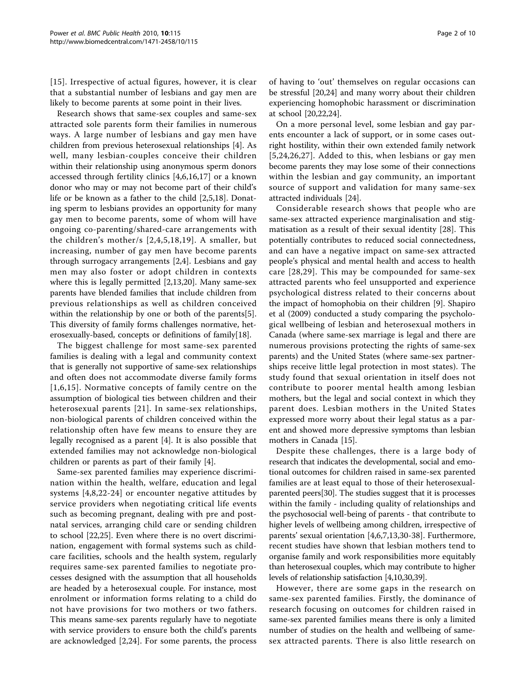[[15](#page-8-0)]. Irrespective of actual figures, however, it is clear that a substantial number of lesbians and gay men are likely to become parents at some point in their lives.

Research shows that same-sex couples and same-sex attracted sole parents form their families in numerous ways. A large number of lesbians and gay men have children from previous heterosexual relationships [\[4](#page-8-0)]. As well, many lesbian-couples conceive their children within their relationship using anonymous sperm donors accessed through fertility clinics [[4,6,16](#page-8-0),[17\]](#page-8-0) or a known donor who may or may not become part of their child's life or be known as a father to the child [\[2,5,18](#page-8-0)]. Donating sperm to lesbians provides an opportunity for many gay men to become parents, some of whom will have ongoing co-parenting/shared-care arrangements with the children's mother/s [[2,4](#page-8-0),[5](#page-8-0),[18](#page-8-0),[19\]](#page-8-0). A smaller, but increasing, number of gay men have become parents through surrogacy arrangements [[2,4\]](#page-8-0). Lesbians and gay men may also foster or adopt children in contexts where this is legally permitted [[2,13,20\]](#page-8-0). Many same-sex parents have blended families that include children from previous relationships as well as children conceived within the relationship by one or both of the parents[\[5](#page-8-0)]. This diversity of family forms challenges normative, heterosexually-based, concepts or definitions of family[[18](#page-8-0)].

The biggest challenge for most same-sex parented families is dealing with a legal and community context that is generally not supportive of same-sex relationships and often does not accommodate diverse family forms [[1](#page-8-0),[6](#page-8-0),[15](#page-8-0)]. Normative concepts of family centre on the assumption of biological ties between children and their heterosexual parents [[21\]](#page-8-0). In same-sex relationships, non-biological parents of children conceived within the relationship often have few means to ensure they are legally recognised as a parent [[4\]](#page-8-0). It is also possible that extended families may not acknowledge non-biological children or parents as part of their family [\[4](#page-8-0)].

Same-sex parented families may experience discrimination within the health, welfare, education and legal systems [\[4,8,22-24\]](#page-8-0) or encounter negative attitudes by service providers when negotiating critical life events such as becoming pregnant, dealing with pre and postnatal services, arranging child care or sending children to school [[22,25\]](#page-8-0). Even where there is no overt discrimination, engagement with formal systems such as childcare facilities, schools and the health system, regularly requires same-sex parented families to negotiate processes designed with the assumption that all households are headed by a heterosexual couple. For instance, most enrolment or information forms relating to a child do not have provisions for two mothers or two fathers. This means same-sex parents regularly have to negotiate with service providers to ensure both the child's parents are acknowledged [[2,24](#page-8-0)]. For some parents, the process

of having to 'out' themselves on regular occasions can be stressful [\[20,24\]](#page-8-0) and many worry about their children experiencing homophobic harassment or discrimination at school [\[20,22,24\]](#page-8-0).

On a more personal level, some lesbian and gay parents encounter a lack of support, or in some cases outright hostility, within their own extended family network [[5](#page-8-0),[24,26,27](#page-8-0)]. Added to this, when lesbians or gay men become parents they may lose some of their connections within the lesbian and gay community, an important source of support and validation for many same-sex attracted individuals [\[24\]](#page-8-0).

Considerable research shows that people who are same-sex attracted experience marginalisation and stigmatisation as a result of their sexual identity [[28](#page-8-0)]. This potentially contributes to reduced social connectedness, and can have a negative impact on same-sex attracted people's physical and mental health and access to health care [[28,29\]](#page-8-0). This may be compounded for same-sex attracted parents who feel unsupported and experience psychological distress related to their concerns about the impact of homophobia on their children [[9\]](#page-8-0). Shapiro et al (2009) conducted a study comparing the psychological wellbeing of lesbian and heterosexual mothers in Canada (where same-sex marriage is legal and there are numerous provisions protecting the rights of same-sex parents) and the United States (where same-sex partnerships receive little legal protection in most states). The study found that sexual orientation in itself does not contribute to poorer mental health among lesbian mothers, but the legal and social context in which they parent does. Lesbian mothers in the United States expressed more worry about their legal status as a parent and showed more depressive symptoms than lesbian mothers in Canada [\[15](#page-8-0)].

Despite these challenges, there is a large body of research that indicates the developmental, social and emotional outcomes for children raised in same-sex parented families are at least equal to those of their heterosexualparented peers[[30](#page-8-0)]. The studies suggest that it is processes within the family - including quality of relationships and the psychosocial well-being of parents - that contribute to higher levels of wellbeing among children, irrespective of parents' sexual orientation [\[4,6](#page-8-0),[7](#page-8-0),[13](#page-8-0),[30-38\]](#page-8-0). Furthermore, recent studies have shown that lesbian mothers tend to organise family and work responsibilities more equitably than heterosexual couples, which may contribute to higher levels of relationship satisfaction [[4,10,30,39](#page-8-0)].

However, there are some gaps in the research on same-sex parented families. Firstly, the dominance of research focusing on outcomes for children raised in same-sex parented families means there is only a limited number of studies on the health and wellbeing of samesex attracted parents. There is also little research on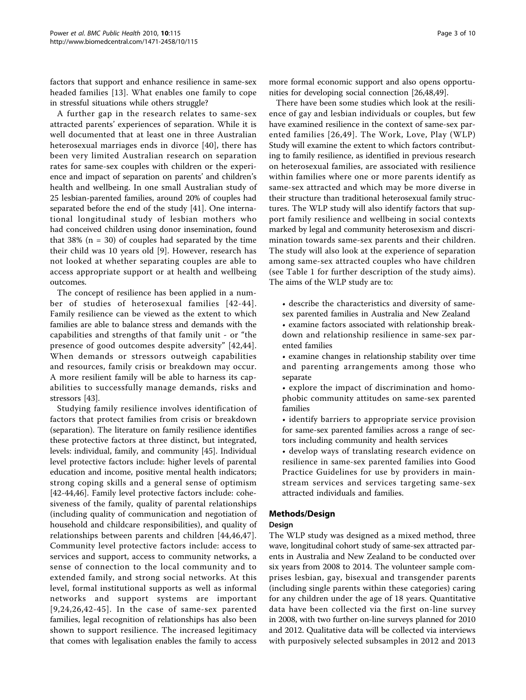factors that support and enhance resilience in same-sex headed families [[13\]](#page-8-0). What enables one family to cope in stressful situations while others struggle?

A further gap in the research relates to same-sex attracted parents' experiences of separation. While it is well documented that at least one in three Australian heterosexual marriages ends in divorce [[40](#page-8-0)], there has been very limited Australian research on separation rates for same-sex couples with children or the experience and impact of separation on parents' and children's health and wellbeing. In one small Australian study of 25 lesbian-parented families, around 20% of couples had separated before the end of the study [\[41](#page-8-0)]. One international longitudinal study of lesbian mothers who had conceived children using donor insemination, found that  $38\%$  (n = 30) of couples had separated by the time their child was 10 years old [[9](#page-8-0)]. However, research has not looked at whether separating couples are able to access appropriate support or at health and wellbeing outcomes.

The concept of resilience has been applied in a number of studies of heterosexual families [[42-44\]](#page-9-0). Family resilience can be viewed as the extent to which families are able to balance stress and demands with the capabilities and strengths of that family unit - or "the presence of good outcomes despite adversity" [[42](#page-9-0),[44\]](#page-9-0). When demands or stressors outweigh capabilities and resources, family crisis or breakdown may occur. A more resilient family will be able to harness its capabilities to successfully manage demands, risks and stressors [\[43\]](#page-9-0).

Studying family resilience involves identification of factors that protect families from crisis or breakdown (separation). The literature on family resilience identifies these protective factors at three distinct, but integrated, levels: individual, family, and community [\[45](#page-9-0)]. Individual level protective factors include: higher levels of parental education and income, positive mental health indicators; strong coping skills and a general sense of optimism [[42-44,46](#page-9-0)]. Family level protective factors include: cohesiveness of the family, quality of parental relationships (including quality of communication and negotiation of household and childcare responsibilities), and quality of relationships between parents and children [[44,46](#page-9-0),[47\]](#page-9-0). Community level protective factors include: access to services and support, access to community networks, a sense of connection to the local community and to extended family, and strong social networks. At this level, formal institutional supports as well as informal networks and support systems are important [[9,24](#page-8-0),[26](#page-8-0),[42-45\]](#page-9-0). In the case of same-sex parented families, legal recognition of relationships has also been shown to support resilience. The increased legitimacy that comes with legalisation enables the family to access

more formal economic support and also opens opportunities for developing social connection [\[26,](#page-8-0)[48,49\]](#page-9-0).

There have been some studies which look at the resilience of gay and lesbian individuals or couples, but few have examined resilience in the context of same-sex parented families [[26](#page-8-0),[49\]](#page-9-0). The Work, Love, Play (WLP) Study will examine the extent to which factors contributing to family resilience, as identified in previous research on heterosexual families, are associated with resilience within families where one or more parents identify as same-sex attracted and which may be more diverse in their structure than traditional heterosexual family structures. The WLP study will also identify factors that support family resilience and wellbeing in social contexts marked by legal and community heterosexism and discrimination towards same-sex parents and their children. The study will also look at the experience of separation among same-sex attracted couples who have children (see Table [1](#page-3-0) for further description of the study aims). The aims of the WLP study are to:

• describe the characteristics and diversity of samesex parented families in Australia and New Zealand • examine factors associated with relationship break-

- down and relationship resilience in same-sex parented families
- examine changes in relationship stability over time and parenting arrangements among those who separate
- explore the impact of discrimination and homophobic community attitudes on same-sex parented families
- identify barriers to appropriate service provision for same-sex parented families across a range of sectors including community and health services
- develop ways of translating research evidence on resilience in same-sex parented families into Good Practice Guidelines for use by providers in mainstream services and services targeting same-sex attracted individuals and families.

## Methods/Design

#### Design

The WLP study was designed as a mixed method, three wave, longitudinal cohort study of same-sex attracted parents in Australia and New Zealand to be conducted over six years from 2008 to 2014. The volunteer sample comprises lesbian, gay, bisexual and transgender parents (including single parents within these categories) caring for any children under the age of 18 years. Quantitative data have been collected via the first on-line survey in 2008, with two further on-line surveys planned for 2010 and 2012. Qualitative data will be collected via interviews with purposively selected subsamples in 2012 and 2013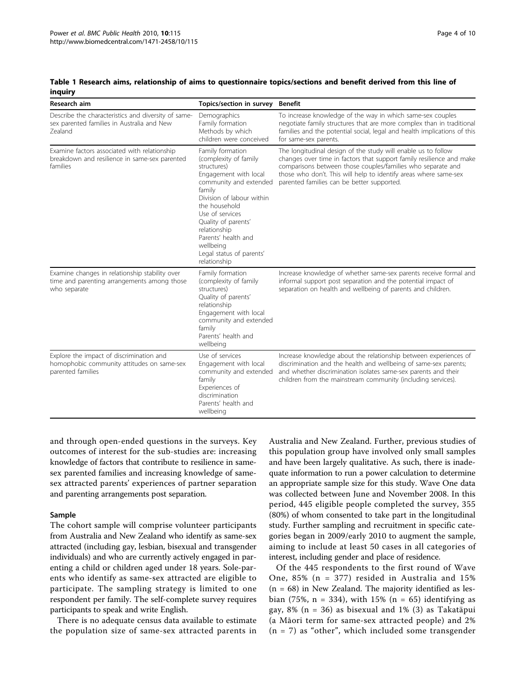<span id="page-3-0"></span>

|         | Table 1 Research aims, relationship of aims to questionnaire topics/sections and benefit derived from this line of |  |  |  |  |
|---------|--------------------------------------------------------------------------------------------------------------------|--|--|--|--|
| inguiry |                                                                                                                    |  |  |  |  |

| Research aim                                                                                                  | Topics/section in survey Benefit                                                                                                                                                                                                                                                                              |                                                                                                                                                                                                                                                                                                                        |
|---------------------------------------------------------------------------------------------------------------|---------------------------------------------------------------------------------------------------------------------------------------------------------------------------------------------------------------------------------------------------------------------------------------------------------------|------------------------------------------------------------------------------------------------------------------------------------------------------------------------------------------------------------------------------------------------------------------------------------------------------------------------|
| Describe the characteristics and diversity of same-<br>sex parented families in Australia and New<br>Zealand  | Demographics<br>Family formation<br>Methods by which<br>children were conceived                                                                                                                                                                                                                               | To increase knowledge of the way in which same-sex couples<br>negotiate family structures that are more complex than in traditional<br>families and the potential social, legal and health implications of this<br>for same-sex parents.                                                                               |
| Examine factors associated with relationship<br>breakdown and resilience in same-sex parented<br>families     | Family formation<br>(complexity of family<br>structures)<br>Engagement with local<br>community and extended<br>family<br>Division of labour within<br>the household<br>Use of services<br>Quality of parents'<br>relationship<br>Parents' health and<br>wellbeing<br>Legal status of parents'<br>relationship | The longitudinal design of the study will enable us to follow<br>changes over time in factors that support family resilience and make<br>comparisons between those couples/families who separate and<br>those who don't. This will help to identify areas where same-sex<br>parented families can be better supported. |
| Examine changes in relationship stability over<br>time and parenting arrangements among those<br>who separate | Family formation<br>(complexity of family<br>structures)<br>Quality of parents'<br>relationship<br>Engagement with local<br>community and extended<br>family<br>Parents' health and<br>wellbeing                                                                                                              | Increase knowledge of whether same-sex parents receive formal and<br>informal support post separation and the potential impact of<br>separation on health and wellbeing of parents and children.                                                                                                                       |
| Explore the impact of discrimination and<br>homophobic community attitudes on same-sex<br>parented families   | Use of services<br>Engagement with local<br>community and extended<br>family<br>Experiences of<br>discrimination<br>Parents' health and<br>wellbeing                                                                                                                                                          | Increase knowledge about the relationship between experiences of<br>discrimination and the health and wellbeing of same-sex parents;<br>and whether discrimination isolates same-sex parents and their<br>children from the mainstream community (including services).                                                 |

and through open-ended questions in the surveys. Key outcomes of interest for the sub-studies are: increasing knowledge of factors that contribute to resilience in samesex parented families and increasing knowledge of samesex attracted parents' experiences of partner separation and parenting arrangements post separation.

#### Sample

The cohort sample will comprise volunteer participants from Australia and New Zealand who identify as same-sex attracted (including gay, lesbian, bisexual and transgender individuals) and who are currently actively engaged in parenting a child or children aged under 18 years. Sole-parents who identify as same-sex attracted are eligible to participate. The sampling strategy is limited to one respondent per family. The self-complete survey requires participants to speak and write English.

There is no adequate census data available to estimate the population size of same-sex attracted parents in Australia and New Zealand. Further, previous studies of this population group have involved only small samples and have been largely qualitative. As such, there is inadequate information to run a power calculation to determine an appropriate sample size for this study. Wave One data was collected between June and November 2008. In this period, 445 eligible people completed the survey, 355 (80%) of whom consented to take part in the longitudinal study. Further sampling and recruitment in specific categories began in 2009/early 2010 to augment the sample, aiming to include at least 50 cases in all categories of interest, including gender and place of residence.

Of the 445 respondents to the first round of Wave One, 85% (n = 377) resided in Australia and 15%  $(n = 68)$  in New Zealand. The majority identified as lesbian (75%,  $n = 334$ ), with 15% ( $n = 65$ ) identifying as gay, 8% (n = 36) as bisexual and 1% (3) as Takatäpui (a Māori term for same-sex attracted people) and 2%  $(n = 7)$  as "other", which included some transgender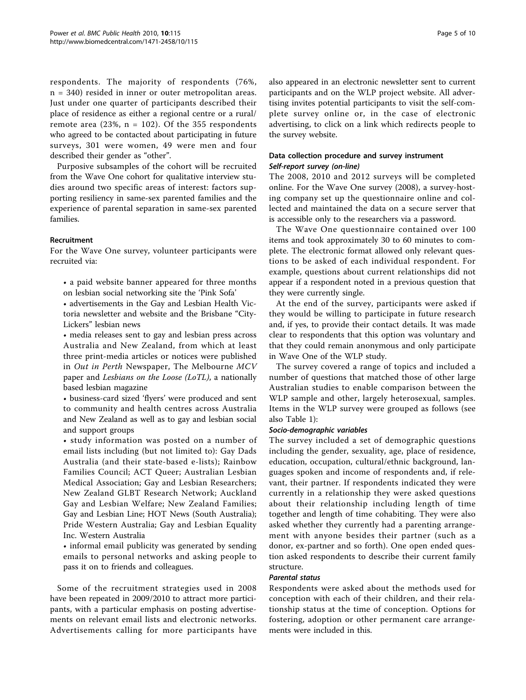respondents. The majority of respondents (76%, n = 340) resided in inner or outer metropolitan areas. Just under one quarter of participants described their place of residence as either a regional centre or a rural/ remote area (23%,  $n = 102$ ). Of the 355 respondents who agreed to be contacted about participating in future surveys, 301 were women, 49 were men and four described their gender as "other".

Purposive subsamples of the cohort will be recruited from the Wave One cohort for qualitative interview studies around two specific areas of interest: factors supporting resiliency in same-sex parented families and the experience of parental separation in same-sex parented families.

#### Recruitment

For the Wave One survey, volunteer participants were recruited via:

• a paid website banner appeared for three months on lesbian social networking site the 'Pink Sofa'

• advertisements in the Gay and Lesbian Health Victoria newsletter and website and the Brisbane "City-Lickers" lesbian news

• media releases sent to gay and lesbian press across Australia and New Zealand, from which at least three print-media articles or notices were published in Out in Perth Newspaper, The Melbourne MCV paper and Lesbians on the Loose (LoTL), a nationally based lesbian magazine

• business-card sized 'flyers' were produced and sent to community and health centres across Australia and New Zealand as well as to gay and lesbian social and support groups

• study information was posted on a number of email lists including (but not limited to): Gay Dads Australia (and their state-based e-lists); Rainbow Families Council; ACT Queer; Australian Lesbian Medical Association; Gay and Lesbian Researchers; New Zealand GLBT Research Network; Auckland Gay and Lesbian Welfare; New Zealand Families; Gay and Lesbian Line; HOT News (South Australia); Pride Western Australia; Gay and Lesbian Equality Inc. Western Australia

• informal email publicity was generated by sending emails to personal networks and asking people to pass it on to friends and colleagues.

Some of the recruitment strategies used in 2008 have been repeated in 2009/2010 to attract more participants, with a particular emphasis on posting advertisements on relevant email lists and electronic networks. Advertisements calling for more participants have also appeared in an electronic newsletter sent to current participants and on the WLP project website. All advertising invites potential participants to visit the self-complete survey online or, in the case of electronic advertising, to click on a link which redirects people to the survey website.

## Data collection procedure and survey instrument Self-report survey (on-line)

The 2008, 2010 and 2012 surveys will be completed online. For the Wave One survey (2008), a survey-hosting company set up the questionnaire online and collected and maintained the data on a secure server that is accessible only to the researchers via a password.

The Wave One questionnaire contained over 100 items and took approximately 30 to 60 minutes to complete. The electronic format allowed only relevant questions to be asked of each individual respondent. For example, questions about current relationships did not appear if a respondent noted in a previous question that they were currently single.

At the end of the survey, participants were asked if they would be willing to participate in future research and, if yes, to provide their contact details. It was made clear to respondents that this option was voluntary and that they could remain anonymous and only participate in Wave One of the WLP study.

The survey covered a range of topics and included a number of questions that matched those of other large Australian studies to enable comparison between the WLP sample and other, largely heterosexual, samples. Items in the WLP survey were grouped as follows (see also Table [1\)](#page-3-0):

## Socio-demographic variables

The survey included a set of demographic questions including the gender, sexuality, age, place of residence, education, occupation, cultural/ethnic background, languages spoken and income of respondents and, if relevant, their partner. If respondents indicated they were currently in a relationship they were asked questions about their relationship including length of time together and length of time cohabiting. They were also asked whether they currently had a parenting arrangement with anyone besides their partner (such as a donor, ex-partner and so forth). One open ended question asked respondents to describe their current family structure.

#### Parental status

Respondents were asked about the methods used for conception with each of their children, and their relationship status at the time of conception. Options for fostering, adoption or other permanent care arrangements were included in this.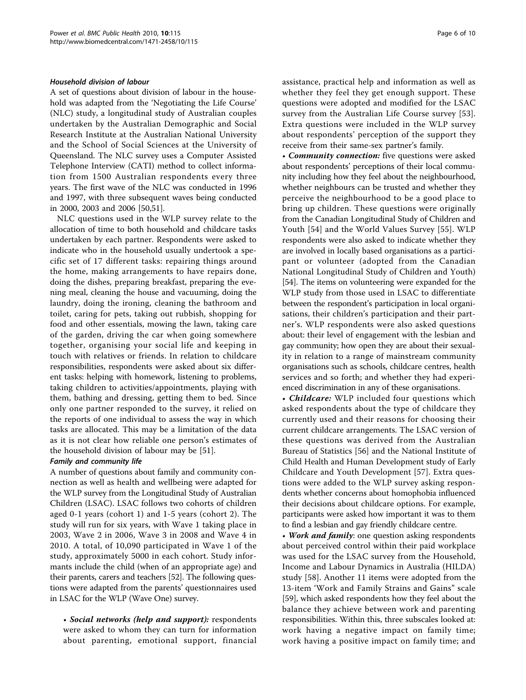#### Household division of labour

A set of questions about division of labour in the household was adapted from the 'Negotiating the Life Course' (NLC) study, a longitudinal study of Australian couples undertaken by the Australian Demographic and Social Research Institute at the Australian National University and the School of Social Sciences at the University of Queensland. The NLC survey uses a Computer Assisted Telephone Interview (CATI) method to collect information from 1500 Australian respondents every three years. The first wave of the NLC was conducted in 1996 and 1997, with three subsequent waves being conducted in 2000, 2003 and 2006 [[50](#page-9-0),[51](#page-9-0)].

NLC questions used in the WLP survey relate to the allocation of time to both household and childcare tasks undertaken by each partner. Respondents were asked to indicate who in the household usually undertook a specific set of 17 different tasks: repairing things around the home, making arrangements to have repairs done, doing the dishes, preparing breakfast, preparing the evening meal, cleaning the house and vacuuming, doing the laundry, doing the ironing, cleaning the bathroom and toilet, caring for pets, taking out rubbish, shopping for food and other essentials, mowing the lawn, taking care of the garden, driving the car when going somewhere together, organising your social life and keeping in touch with relatives or friends. In relation to childcare responsibilities, respondents were asked about six different tasks: helping with homework, listening to problems, taking children to activities/appointments, playing with them, bathing and dressing, getting them to bed. Since only one partner responded to the survey, it relied on the reports of one individual to assess the way in which tasks are allocated. This may be a limitation of the data as it is not clear how reliable one person's estimates of the household division of labour may be [\[51\]](#page-9-0).

## Family and community life

A number of questions about family and community connection as well as health and wellbeing were adapted for the WLP survey from the Longitudinal Study of Australian Children (LSAC). LSAC follows two cohorts of children aged 0-1 years (cohort 1) and 1-5 years (cohort 2). The study will run for six years, with Wave 1 taking place in 2003, Wave 2 in 2006, Wave 3 in 2008 and Wave 4 in 2010. A total, of 10,090 participated in Wave 1 of the study, approximately 5000 in each cohort. Study informants include the child (when of an appropriate age) and their parents, carers and teachers [[52](#page-9-0)]. The following questions were adapted from the parents' questionnaires used in LSAC for the WLP (Wave One) survey.

• Social networks (help and support): respondents were asked to whom they can turn for information about parenting, emotional support, financial assistance, practical help and information as well as whether they feel they get enough support. These questions were adopted and modified for the LSAC survey from the Australian Life Course survey [[53](#page-9-0)]. Extra questions were included in the WLP survey about respondents' perception of the support they receive from their same-sex partner's family.

• Community connection: five questions were asked about respondents' perceptions of their local community including how they feel about the neighbourhood, whether neighbours can be trusted and whether they perceive the neighbourhood to be a good place to bring up children. These questions were originally from the Canadian Longitudinal Study of Children and Youth [[54\]](#page-9-0) and the World Values Survey [[55\]](#page-9-0). WLP respondents were also asked to indicate whether they are involved in locally based organisations as a participant or volunteer (adopted from the Canadian National Longitudinal Study of Children and Youth) [[54](#page-9-0)]. The items on volunteering were expanded for the WLP study from those used in LSAC to differentiate between the respondent's participation in local organisations, their children's participation and their partner's. WLP respondents were also asked questions about: their level of engagement with the lesbian and gay community; how open they are about their sexuality in relation to a range of mainstream community organisations such as schools, childcare centres, health services and so forth; and whether they had experienced discrimination in any of these organisations.

• Childcare: WLP included four questions which asked respondents about the type of childcare they currently used and their reasons for choosing their current childcare arrangements. The LSAC version of these questions was derived from the Australian Bureau of Statistics [[56\]](#page-9-0) and the National Institute of Child Health and Human Development study of Early Childcare and Youth Development [[57](#page-9-0)]. Extra questions were added to the WLP survey asking respondents whether concerns about homophobia influenced their decisions about childcare options. For example, participants were asked how important it was to them to find a lesbian and gay friendly childcare centre.

• Work and family: one question asking respondents about perceived control within their paid workplace was used for the LSAC survey from the Household, Income and Labour Dynamics in Australia (HILDA) study [\[58](#page-9-0)]. Another 11 items were adopted from the 13-item 'Work and Family Strains and Gains" scale [[59](#page-9-0)], which asked respondents how they feel about the balance they achieve between work and parenting responsibilities. Within this, three subscales looked at: work having a negative impact on family time; work having a positive impact on family time; and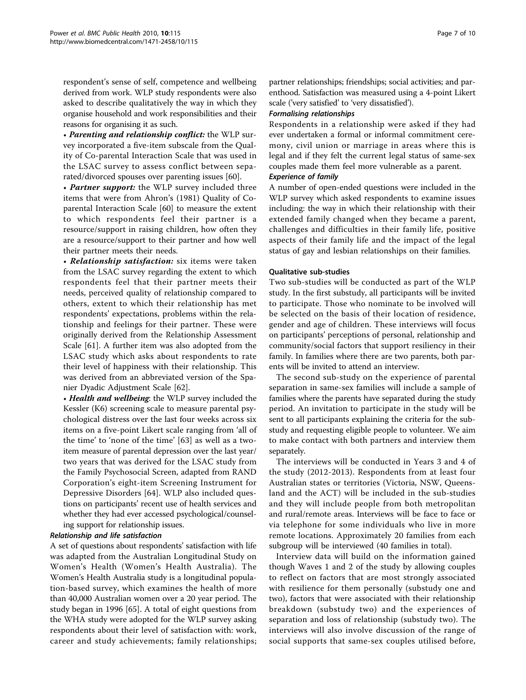respondent's sense of self, competence and wellbeing derived from work. WLP study respondents were also asked to describe qualitatively the way in which they organise household and work responsibilities and their reasons for organising it as such.

• Parenting and relationship conflict: the WLP survey incorporated a five-item subscale from the Quality of Co-parental Interaction Scale that was used in the LSAC survey to assess conflict between separated/divorced spouses over parenting issues [[60](#page-9-0)].

• Partner support: the WLP survey included three items that were from Ahron's (1981) Quality of Coparental Interaction Scale [[60\]](#page-9-0) to measure the extent to which respondents feel their partner is a resource/support in raising children, how often they are a resource/support to their partner and how well their partner meets their needs.

• Relationship satisfaction: six items were taken from the LSAC survey regarding the extent to which respondents feel that their partner meets their needs, perceived quality of relationship compared to others, extent to which their relationship has met respondents' expectations, problems within the relationship and feelings for their partner. These were originally derived from the Relationship Assessment Scale [[61\]](#page-9-0). A further item was also adopted from the LSAC study which asks about respondents to rate their level of happiness with their relationship. This was derived from an abbreviated version of the Spanier Dyadic Adjustment Scale [\[62\]](#page-9-0).

• Health and wellbeing: the WLP survey included the Kessler (K6) screening scale to measure parental psychological distress over the last four weeks across six items on a five-point Likert scale ranging from 'all of the time' to 'none of the time' [\[63\]](#page-9-0) as well as a twoitem measure of parental depression over the last year/ two years that was derived for the LSAC study from the Family Psychosocial Screen, adapted from RAND Corporation's eight-item Screening Instrument for Depressive Disorders [\[64\]](#page-9-0). WLP also included questions on participants' recent use of health services and whether they had ever accessed psychological/counseling support for relationship issues.

## Relationship and life satisfaction

A set of questions about respondents' satisfaction with life was adapted from the Australian Longitudinal Study on Women's Health (Women's Health Australia). The Women's Health Australia study is a longitudinal population-based survey, which examines the health of more than 40,000 Australian women over a 20 year period. The study began in 1996 [\[65](#page-9-0)]. A total of eight questions from the WHA study were adopted for the WLP survey asking respondents about their level of satisfaction with: work, career and study achievements; family relationships; partner relationships; friendships; social activities; and parenthood. Satisfaction was measured using a 4-point Likert scale ('very satisfied' to 'very dissatisfied').

#### Formalising relationships

Respondents in a relationship were asked if they had ever undertaken a formal or informal commitment ceremony, civil union or marriage in areas where this is legal and if they felt the current legal status of same-sex couples made them feel more vulnerable as a parent.

## Experience of family

A number of open-ended questions were included in the WLP survey which asked respondents to examine issues including: the way in which their relationship with their extended family changed when they became a parent, challenges and difficulties in their family life, positive aspects of their family life and the impact of the legal status of gay and lesbian relationships on their families.

## Qualitative sub-studies

Two sub-studies will be conducted as part of the WLP study. In the first substudy, all participants will be invited to participate. Those who nominate to be involved will be selected on the basis of their location of residence, gender and age of children. These interviews will focus on participants' perceptions of personal, relationship and community/social factors that support resiliency in their family. In families where there are two parents, both parents will be invited to attend an interview.

The second sub-study on the experience of parental separation in same-sex families will include a sample of families where the parents have separated during the study period. An invitation to participate in the study will be sent to all participants explaining the criteria for the substudy and requesting eligible people to volunteer. We aim to make contact with both partners and interview them separately.

The interviews will be conducted in Years 3 and 4 of the study (2012-2013). Respondents from at least four Australian states or territories (Victoria, NSW, Queensland and the ACT) will be included in the sub-studies and they will include people from both metropolitan and rural/remote areas. Interviews will be face to face or via telephone for some individuals who live in more remote locations. Approximately 20 families from each subgroup will be interviewed (40 families in total).

Interview data will build on the information gained though Waves 1 and 2 of the study by allowing couples to reflect on factors that are most strongly associated with resilience for them personally (substudy one and two), factors that were associated with their relationship breakdown (substudy two) and the experiences of separation and loss of relationship (substudy two). The interviews will also involve discussion of the range of social supports that same-sex couples utilised before,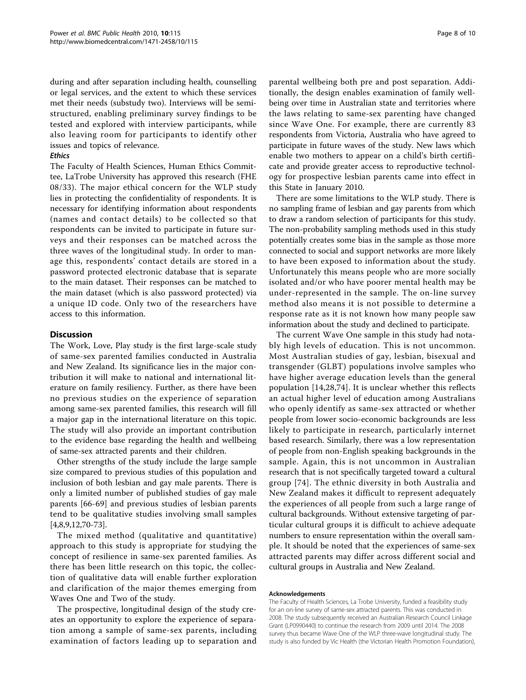during and after separation including health, counselling or legal services, and the extent to which these services met their needs (substudy two). Interviews will be semistructured, enabling preliminary survey findings to be tested and explored with interview participants, while also leaving room for participants to identify other issues and topics of relevance.

#### **Ethics**

The Faculty of Health Sciences, Human Ethics Committee, LaTrobe University has approved this research (FHE 08/33). The major ethical concern for the WLP study lies in protecting the confidentiality of respondents. It is necessary for identifying information about respondents (names and contact details) to be collected so that respondents can be invited to participate in future surveys and their responses can be matched across the three waves of the longitudinal study. In order to manage this, respondents' contact details are stored in a password protected electronic database that is separate to the main dataset. Their responses can be matched to the main dataset (which is also password protected) via a unique ID code. Only two of the researchers have access to this information.

#### Discussion

The Work, Love, Play study is the first large-scale study of same-sex parented families conducted in Australia and New Zealand. Its significance lies in the major contribution it will make to national and international literature on family resiliency. Further, as there have been no previous studies on the experience of separation among same-sex parented families, this research will fill a major gap in the international literature on this topic. The study will also provide an important contribution to the evidence base regarding the health and wellbeing of same-sex attracted parents and their children.

Other strengths of the study include the large sample size compared to previous studies of this population and inclusion of both lesbian and gay male parents. There is only a limited number of published studies of gay male parents [\[66-69](#page-9-0)] and previous studies of lesbian parents tend to be qualitative studies involving small samples [[4,8,9,12,](#page-8-0)[70-73\]](#page-9-0).

The mixed method (qualitative and quantitative) approach to this study is appropriate for studying the concept of resilience in same-sex parented families. As there has been little research on this topic, the collection of qualitative data will enable further exploration and clarification of the major themes emerging from Waves One and Two of the study.

The prospective, longitudinal design of the study creates an opportunity to explore the experience of separation among a sample of same-sex parents, including examination of factors leading up to separation and parental wellbeing both pre and post separation. Additionally, the design enables examination of family wellbeing over time in Australian state and territories where the laws relating to same-sex parenting have changed since Wave One. For example, there are currently 83 respondents from Victoria, Australia who have agreed to participate in future waves of the study. New laws which enable two mothers to appear on a child's birth certificate and provide greater access to reproductive technology for prospective lesbian parents came into effect in this State in January 2010.

There are some limitations to the WLP study. There is no sampling frame of lesbian and gay parents from which to draw a random selection of participants for this study. The non-probability sampling methods used in this study potentially creates some bias in the sample as those more connected to social and support networks are more likely to have been exposed to information about the study. Unfortunately this means people who are more socially isolated and/or who have poorer mental health may be under-represented in the sample. The on-line survey method also means it is not possible to determine a response rate as it is not known how many people saw information about the study and declined to participate.

The current Wave One sample in this study had notably high levels of education. This is not uncommon. Most Australian studies of gay, lesbian, bisexual and transgender (GLBT) populations involve samples who have higher average education levels than the general population [\[14](#page-8-0),[28,](#page-8-0)[74](#page-9-0)]. It is unclear whether this reflects an actual higher level of education among Australians who openly identify as same-sex attracted or whether people from lower socio-economic backgrounds are less likely to participate in research, particularly internet based research. Similarly, there was a low representation of people from non-English speaking backgrounds in the sample. Again, this is not uncommon in Australian research that is not specifically targeted toward a cultural group [[74](#page-9-0)]. The ethnic diversity in both Australia and New Zealand makes it difficult to represent adequately the experiences of all people from such a large range of cultural backgrounds. Without extensive targeting of particular cultural groups it is difficult to achieve adequate numbers to ensure representation within the overall sample. It should be noted that the experiences of same-sex attracted parents may differ across different social and cultural groups in Australia and New Zealand.

#### Acknowledgements

The Faculty of Health Sciences, La Trobe University, funded a feasibility study for an on-line survey of same-sex attracted parents. This was conducted in 2008. The study subsequently received an Australian Research Council Linkage Grant (LP0990440) to continue the research from 2009 until 2014. The 2008 survey thus became Wave One of the WLP three-wave longitudinal study. The study is also funded by Vic Health (the Victorian Health Promotion Foundation),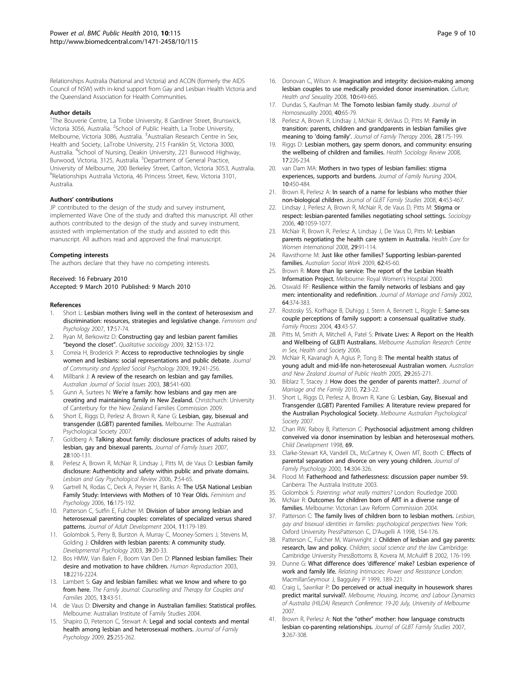<span id="page-8-0"></span>Relationships Australia (National and Victoria) and ACON (formerly the AIDS Council of NSW) with in-kind support from Gay and Lesbian Health Victoria and the Queensland Association for Health Communities.

#### Author details

<sup>1</sup>The Bouverie Centre, La Trobe University, 8 Gardiner Street, Brunswick, Victoria 3056, Australia. <sup>2</sup>School of Public Health, La Trobe University, Melbourne, Victoria 3086, Australia. <sup>3</sup>Australian Research Centre in Sex, Health and Society, LaTrobe University, 215 Franklin St, Victoria 3000, Australia. <sup>4</sup> School of Nursing, Deakin University, 221 Burwood Highway, Burwood, Victoria, 3125, Australia. <sup>5</sup>Department of General Practice, University of Melbourne, 200 Berkeley Street, Carlton, Victoria 3053, Australia. 6 Relationships Australia Victoria, 46 Princess Street, Kew, Victoria 3101, Australia.

#### Authors' contributions

JP contributed to the design of the study and survey instrument, implemented Wave One of the study and drafted this manuscript. All other authors contributed to the design of the study and survey instrument, assisted with implementation of the study and assisted to edit this manuscript. All authors read and approved the final manuscript.

#### Competing interests

The authors declare that they have no competing interests.

#### Received: 16 February 2010

Accepted: 9 March 2010 Published: 9 March 2010

#### References

- 1. Short L: Lesbian mothers living well in the context of heterosexism and discrimination: resources, strategies and legislative change. Feminism and Psychology 2007, 17:57-74.
- 2. Ryan M, Berkowitz D: Constructing gay and lesbian parent families "beyond the closet". Qualitative sociology 2009, 32:153-172.
- 3. Correia H, Broderick P: Access to reproductive technologies by single women and lesbians: social representations and public debate. Journal of Community and Applied Social Psychology 2009, 19:241-256.
- 4. Millbank J: A review of the research on lesbian and gay families. Australian Journal of Social Issues 2003, 38:541-600.
- 5. Gunn A, Surtees N: We're a family: how lesbians and gay men are creating and maintaining family in New Zealand. Christchurch: University of Canterbury for the New Zealand Families Commission 2009.
- 6. Short E, Riggs D, Perlesz A, Brown R, Kane G: Lesbian, gay, bisexual and transgender (LGBT) parented families. Melbourne: The Australian Psychological Society 2007.
- 7. Goldberg A: Talking about family: disclosure practices of adults raised by lesbian, gay and bisexual parents. Journal of Family Issues 2007, 28:100-131.
- Perlesz A, Brown R, McNair R, Lindsay J, Pitts M, de Vaus D: Lesbian family disclosure: Authenticity and safety within public and private domains. Lesbian and Gay Psychological Review 2006, 7:54-65.
- 9. Gartrell N, Rodas C, Deck A, Peyser H, Banks A: The USA National Lesbian Family Study: Interviews with Mothers of 10 Year Olds. Feminism and Psychology 2006, 16:175-192.
- 10. Patterson C, Sutfin E, Fulcher M: Division of labor among lesbian and heterosexual parenting couples: correlates of specialized versus shared patterns. Journal of Adult Development 2004, 11:179-189.
- 11. Golombok S, Perry B, Burston A, Murray C, Mooney-Somers J, Stevens M, Golding J: [Children with lesbian parents: A community study.](http://www.ncbi.nlm.nih.gov/pubmed/12518806?dopt=Abstract) Developmental Psychology 2003, 39:20-33.
- 12. Bos HMW, Van Balen F, Boom Van Den D: [Planned lesbian families: Their](http://www.ncbi.nlm.nih.gov/pubmed/14507846?dopt=Abstract) [desire and motivation to have children.](http://www.ncbi.nlm.nih.gov/pubmed/14507846?dopt=Abstract) Human Reproduction 2003, 18:2216-2224.
- 13. Lambert S: Gay and lesbian families: what we know and where to go from here. The Family Journal: Counselling and Therapy for Couples and Families 2005, 13:43-51.
- 14. de Vaus D: Diversity and change in Australian families: Statistical profiles. Melbourne: Australian Institute of Family Studies 2004.
- 15. Shapiro D, Peterson C, Stewart A: Legal and social contexts and mental health among lesbian and heterosexual mothers. Journal of Family Psychology 2009, 25:255-262.
- 16. Donovan C, Wilson A: Imagination and integrity: decision-making among lesbian couples to use medically provided donor insemination. Culture, Health and Sexuality 2008, 10:649-665.
- 17. Dundas S, Kaufman M: [The Tornoto lesbian family study.](http://www.ncbi.nlm.nih.gov/pubmed/11206422?dopt=Abstract) Journal of Homosexuality 2000, 40:65-79.
- 18. Perlesz A, Brown R, Lindsay J, McNair R, deVaus D, Pitts M: Family in transition: parents, children and grandparents in lesbian families give meaning to 'doing family'. Journal of Family Therapy 2006, 28:175-199.
- 19. Riggs D: Lesbian mothers, gay sperm donors, and community: ensuring the wellbeing of children and families. Health Sociology Review 2008, 17:226-234.
- 20. van Dam MA: Mothers in two types of lesbian families: stigma experiences, supports and burdens. Journal of Family Nursing 2004, 10:450-484.
- 21. Brown R, Perlesz A: In search of a name for lesbians who mother thier non-biological children. Journal of GLBT Family Studies 2008, 4:453-467.
- 22. Lindsay J, Perlesz A, Brown R, McNair R, de Vaus D, Pitts M: Stigma or respect: lesbian-parented families negotiating school settings. Sociology 2006, 40:1059-1077.
- 23. McNair R, Brown R, Perlesz A, Lindsay J, De Vaus D, Pitts M: [Lesbian](http://www.ncbi.nlm.nih.gov/pubmed/18350418?dopt=Abstract) [parents negotiating the health care system in Australia.](http://www.ncbi.nlm.nih.gov/pubmed/18350418?dopt=Abstract) Health Care for Women International 2008, 29:91-114.
- 24. Rawsthorne M: Just like other families? Supporting lesbian-parented families. Australian Social Work 2009, 62:45-60.
- 25. Brown R: More than lip service: The report of the Lesbian Health Information Project. Melbourne: Royal Women's Hospital 2000.
- 26. Oswald RF: Resilience within the family networks of lesbians and gay men: intentionality and redefinition. Journal of Marriage and Family 2002, 64:374-383.
- 27. Rostosky SS, Korfhage B, Duhigg J, Stern A, Bennett L, Riggle E: [Same-sex](http://www.ncbi.nlm.nih.gov/pubmed/15359714?dopt=Abstract) [couple perceptions of family support: a consensual qualitative study.](http://www.ncbi.nlm.nih.gov/pubmed/15359714?dopt=Abstract) Family Process 2004, 43:43-57.
- 28. Pitts M, Smith A, Mitchell A, Patel S: Private Lives: A Report on the Health and Wellbeing of GLBTI Australians. Melbourne Australian Research Centre in Sex, Health and Society 2006.
- 29. McNair R, Kavanagh A, Agius P, Tong B: [The mental health status of](http://www.ncbi.nlm.nih.gov/pubmed/15991776?dopt=Abstract) [young adult and mid-life non-heterosexual Australian women.](http://www.ncbi.nlm.nih.gov/pubmed/15991776?dopt=Abstract) Australian and New Zealand Journal of Public Health 2005, 29:265-271.
- 30. Biblarz T, Stacey J: How does the gender of parents matter?. Journal of Marriage and the Family 2010, 72:3-22.
- 31. Short L, Riggs D, Perlesz A, Brown R, Kane G: Lesbian, Gay, Bisexual and Transgender (LGBT) Parented Families: A literature review prepared for the Australian Psychological Society. Melbourne Australian Psychological Society 2007.
- 32. Chan RW, Raboy B, Patterson C: [Psychosocial adjustment among children](http://www.ncbi.nlm.nih.gov/pubmed/9586218?dopt=Abstract) [conveived via donor insemination by lesbian and heterosexual mothers.](http://www.ncbi.nlm.nih.gov/pubmed/9586218?dopt=Abstract) Child Development 1998, 69.
- 33. Clarke-Stewart KA, Vandell DL, McCartney K, Owen MT, Booth C: [Effects of](http://www.ncbi.nlm.nih.gov/pubmed/10870296?dopt=Abstract) [parental separation and divorce on very young children.](http://www.ncbi.nlm.nih.gov/pubmed/10870296?dopt=Abstract) Journal of Family Psychology 2000, 14:304-326.
- 34. Flood M: Fatherhood and fatherlessness: discussion paper number 59. Canberra: The Australia Institute 2003.
- 35. Golombok S: Parenting: what really matters? London: Routledge 2000.
- 36. McNair R: Outcomes for children born of ART in a diverse range of families. Melbourne: Victorian Law Reform Commission 2004.
- 37. Patterson C: The family lives of children born to lesbian mothers. Lesbian, gay and bisexual identities in families: psychological perspectives New York: Oxford University PressPatterson C, D'Augelli A 1998, 154-176.
- 38. Patterson C, Fulcher M, Wainwright J: Children of lesbian and gay parents: research, law and policy. Children, social science and the law Cambridge: Cambridge University PressBottoms B, Kovera M, McAuliff B 2002, 176-199.
- 39. Dunne G: What difference does 'difference' make? Lesbian experience of work and family life. Relating Intimacies: Power and Resistance London: MacmillanSeymour J, Bagguley P 1999, 189-221.
- 40. Craig L, Sawrikar P: Do perceived or actual inequity in housework shares predict marital survival?. Melbourne, Housing, Income, and Labour Dynamics of Australia (HILDA) Research Conference: 19-20 July, University of Melbourne 2007.
- 41. Brown R, Perlesz A: Not the "other" mother: how language constructs lesbian co-parenting relationships. Journal of GLBT Family Studies 2007, 3:267-308.